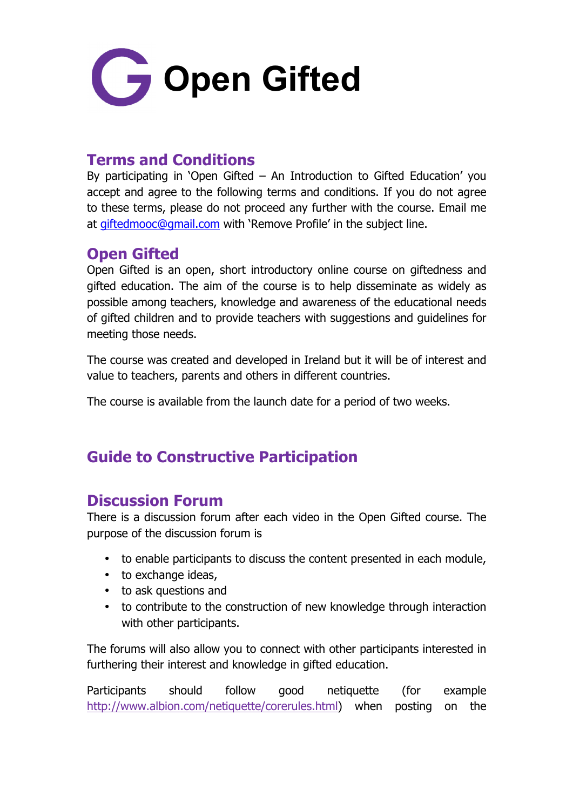

# **Terms and Conditions**

By participating in 'Open Gifted – An Introduction to Gifted Education' you accept and agree to the following terms and conditions. If you do not agree to these terms, please do not proceed any further with the course. Email me at giftedmooc@gmail.com with 'Remove Profile' in the subject line.

#### **Open Gifted**

Open Gifted is an open, short introductory online course on giftedness and gifted education. The aim of the course is to help disseminate as widely as possible among teachers, knowledge and awareness of the educational needs of gifted children and to provide teachers with suggestions and guidelines for meeting those needs.

The course was created and developed in Ireland but it will be of interest and value to teachers, parents and others in different countries.

The course is available from the launch date for a period of two weeks.

# **Guide to Constructive Participation**

# **Discussion Forum**

There is a discussion forum after each video in the Open Gifted course. The purpose of the discussion forum is

- to enable participants to discuss the content presented in each module,
- to exchange ideas,
- to ask questions and
- to contribute to the construction of new knowledge through interaction with other participants.

The forums will also allow you to connect with other participants interested in furthering their interest and knowledge in gifted education.

Participants should follow good netiquette (for example http://www.albion.com/netiquette/corerules.html) when posting on the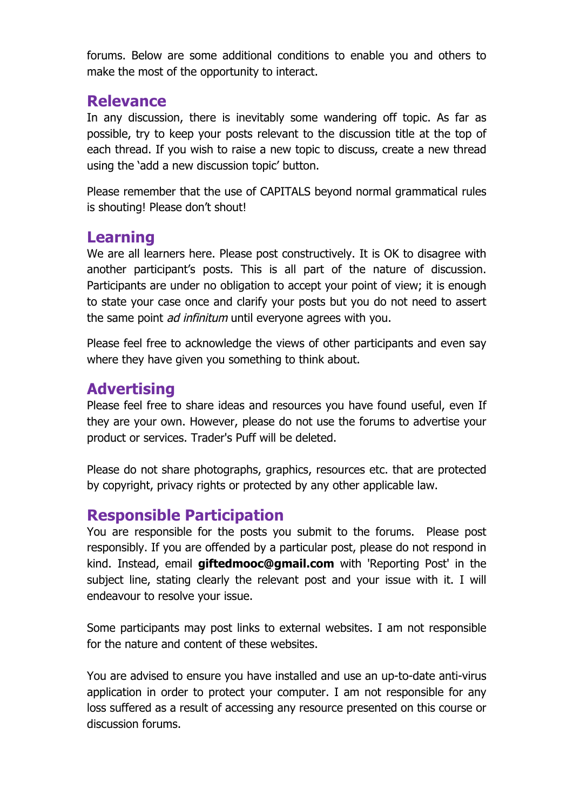forums. Below are some additional conditions to enable you and others to make the most of the opportunity to interact.

#### **Relevance**

In any discussion, there is inevitably some wandering off topic. As far as possible, try to keep your posts relevant to the discussion title at the top of each thread. If you wish to raise a new topic to discuss, create a new thread using the 'add a new discussion topic' button.

Please remember that the use of CAPITALS beyond normal grammatical rules is shouting! Please don't shout!

### **Learning**

We are all learners here. Please post constructively. It is OK to disagree with another participant's posts. This is all part of the nature of discussion. Participants are under no obligation to accept your point of view; it is enough to state your case once and clarify your posts but you do not need to assert the same point *ad infinitum* until everyone agrees with you.

Please feel free to acknowledge the views of other participants and even say where they have given you something to think about.

# **Advertising**

Please feel free to share ideas and resources you have found useful, even If they are your own. However, please do not use the forums to advertise your product or services. Trader's Puff will be deleted.

Please do not share photographs, graphics, resources etc. that are protected by copyright, privacy rights or protected by any other applicable law.

# **Responsible Participation**

You are responsible for the posts you submit to the forums. Please post responsibly. If you are offended by a particular post, please do not respond in kind. Instead, email **giftedmooc@gmail.com** with 'Reporting Post' in the subject line, stating clearly the relevant post and your issue with it. I will endeavour to resolve your issue.

Some participants may post links to external websites. I am not responsible for the nature and content of these websites.

You are advised to ensure you have installed and use an up-to-date anti-virus application in order to protect your computer. I am not responsible for any loss suffered as a result of accessing any resource presented on this course or discussion forums.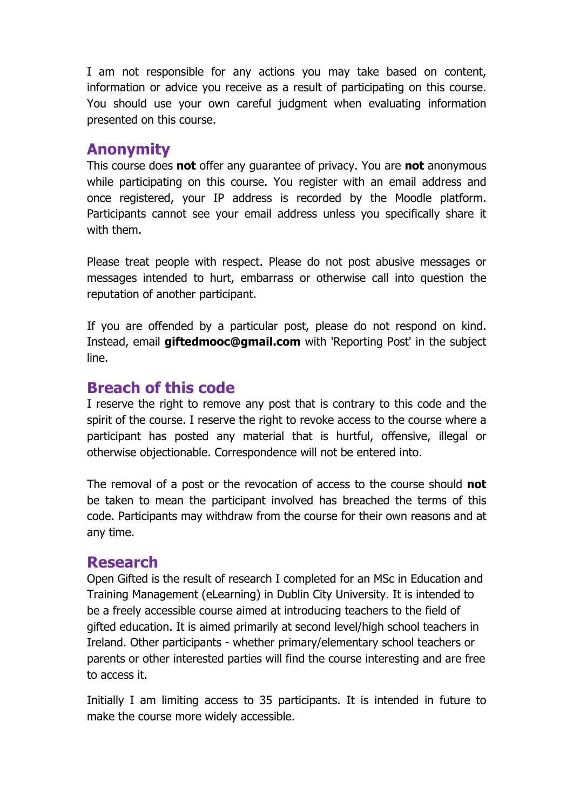I am not responsible for any actions you may take based on content, information or advice you receive as a result of participating on this course. You should use your own careful judgment when evaluating information presented on this course.

#### **Anonymity**

This course does **not** offer any guarantee of privacy. You are **not** anonymous while participating on this course. You register with an email address and once registered, your IP address is recorded by the Moodle platform. Participants cannot see your email address unless you specifically share it with them.

Please treat people with respect. Please do not post abusive messages or messages intended to hurt, embarrass or otherwise call into question the reputation of another participant.

If you are offended by a particular post, please do not respond on kind. Instead, email **giftedmooc@gmail.com** with 'Reporting Post' in the subject line.

### **Breach of this code**

I reserve the right to remove any post that is contrary to this code and the spirit of the course. I reserve the right to revoke access to the course where a participant has posted any material that is hurtful, offensive, illegal or otherwise objectionable. Correspondence will not be entered into.

The removal of a post or the revocation of access to the course should **not** be taken to mean the participant involved has breached the terms of this code. Participants may withdraw from the course for their own reasons and at any time.

#### **Research**

Open Gifted is the result of research I completed for an MSc in Education and Training Management (eLearning) in Dublin City University. It is intended to be a freely accessible course aimed at introducing teachers to the field of gifted education. It is aimed primarily at second level/high school teachers in Ireland. Other participants - whether primary/elementary school teachers or parents or other interested parties will find the course interesting and are free to access it.

Initially I am limiting access to 35 participants. It is intended in future to make the course more widely accessible.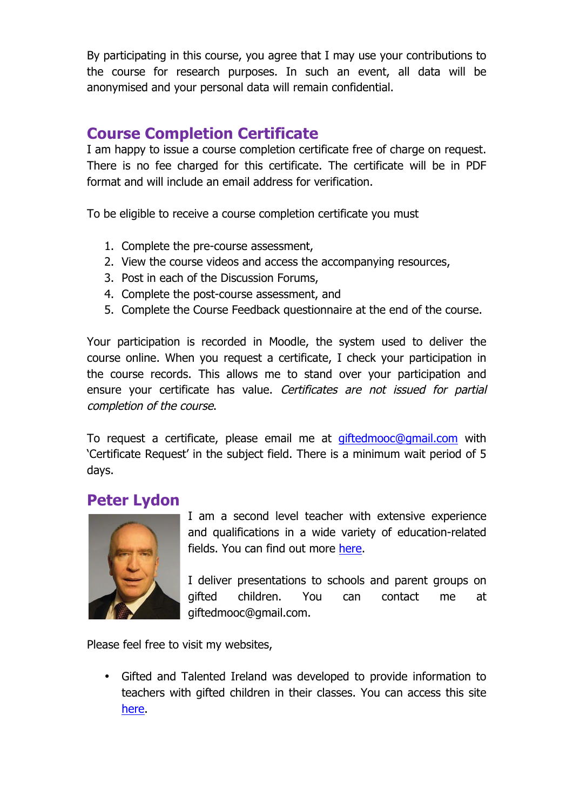By participating in this course, you agree that I may use your contributions to the course for research purposes. In such an event, all data will be anonymised and your personal data will remain confidential.

### **Course Completion Certificate**

I am happy to issue a course completion certificate free of charge on request. There is no fee charged for this certificate. The certificate will be in PDF format and will include an email address for verification.

To be eligible to receive a course completion certificate you must

- 1. Complete the pre-course assessment,
- 2. View the course videos and access the accompanying resources,
- 3. Post in each of the Discussion Forums,
- 4. Complete the post-course assessment, and
- 5. Complete the Course Feedback questionnaire at the end of the course.

Your participation is recorded in Moodle, the system used to deliver the course online. When you request a certificate, I check your participation in the course records. This allows me to stand over your participation and ensure your certificate has value. Certificates are not issued for partial completion of the course.

To request a certificate, please email me at giftedmooc@gmail.com with 'Certificate Request' in the subject field. There is a minimum wait period of 5 days.

#### **Peter Lydon**



I am a second level teacher with extensive experience and qualifications in a wide variety of education-related fields. You can find out more here.

I deliver presentations to schools and parent groups on gifted children. You can contact me at giftedmooc@gmail.com.

Please feel free to visit my websites,

• Gifted and Talented Ireland was developed to provide information to teachers with gifted children in their classes. You can access this site here.